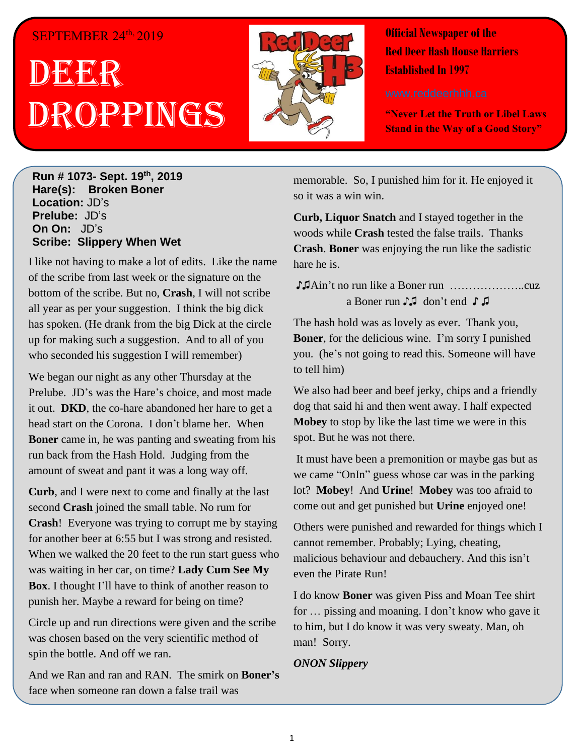## SEPTEMBER 24<sup>th,</sup> 2019

# DEER h Droppings



**Official Newspaper of the Red Deer Hash House Harriers Established In 1997** 

**"Never Let the Truth or Libel Laws Stand in the Way of a Good Story"**

**Run # 1073- Sept. 19th, 2019 Hare(s): Broken Boner Location:** JD's **Prelube:** JD's **On On:** JD's **Scribe: Slippery When Wet**

I like not having to make a lot of edits. Like the name of the scribe from last week or the signature on the bottom of the scribe. But no, **Crash**, I will not scribe all year as per your suggestion. I think the big dick has spoken. (He drank from the big Dick at the circle up for making such a suggestion. And to all of you who seconded his suggestion I will remember)

We began our night as any other Thursday at the Prelube. JD's was the Hare's choice, and most made it out. **DKD**, the co-hare abandoned her hare to get a head start on the Corona. I don't blame her. When **Boner** came in, he was panting and sweating from his run back from the Hash Hold. Judging from the amount of sweat and pant it was a long way off.

**Curb**, and I were next to come and finally at the last second **Crash** joined the small table. No rum for **Crash**! Everyone was trying to corrupt me by staying for another beer at 6:55 but I was strong and resisted. When we walked the 20 feet to the run start guess who was waiting in her car, on time? **Lady Cum See My Box**. I thought I'll have to think of another reason to punish her. Maybe a reward for being on time?

Circle up and run directions were given and the scribe was chosen based on the very scientific method of spin the bottle. And off we ran.

And we Ran and ran and RAN. The smirk on **Boner's** face when someone ran down a false trail was

memorable. So, I punished him for it. He enjoyed it so it was a win win.

**Curb, Liquor Snatch** and I stayed together in the woods while **Crash** tested the false trails. Thanks **Crash**. **Boner** was enjoying the run like the sadistic hare he is.

♪♫Ain't no run like a Boner run ………………..cuz a Boner run ♪♫ don't end ♪ ♫

The hash hold was as lovely as ever. Thank you, **Boner**, for the delicious wine. I'm sorry I punished you. (he's not going to read this. Someone will have to tell him)

We also had beer and beef jerky, chips and a friendly dog that said hi and then went away. I half expected **Mobey** to stop by like the last time we were in this spot. But he was not there.

It must have been a premonition or maybe gas but as we came "OnIn" guess whose car was in the parking lot? **Mobey**! And **Urine**! **Mobey** was too afraid to come out and get punished but **Urine** enjoyed one!

Others were punished and rewarded for things which I cannot remember. Probably; Lying, cheating, malicious behaviour and debauchery. And this isn't even the Pirate Run!

I do know **Boner** was given Piss and Moan Tee shirt for … pissing and moaning. I don't know who gave it to him, but I do know it was very sweaty. Man, oh man! Sorry.

#### *ONON Slippery*